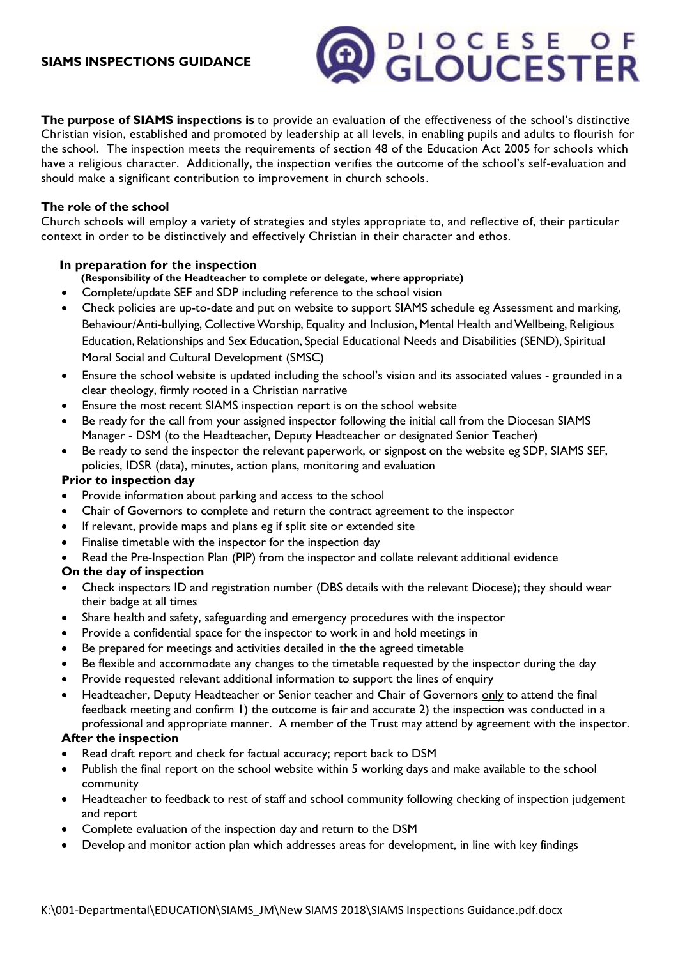#### **SIAMS INSPECTIONS GUIDANCE**

**The purpose of SIAMS inspections is** to provide an evaluation of the effectiveness of the school's distinctive Christian vision, established and promoted by leadership at all levels, in enabling pupils and adults to flourish for the school. The inspection meets the requirements of section 48 of the Education Act 2005 for schools which have a religious character. Additionally, the inspection verifies the outcome of the school's self-evaluation and should make a significant contribution to improvement in church schools.

**CLOUCESE OF** 

#### **The role of the school**

Church schools will employ a variety of strategies and styles appropriate to, and reflective of, their particular context in order to be distinctively and effectively Christian in their character and ethos.

#### **In preparation for the inspection**

- **(Responsibility of the Headteacher to complete or delegate, where appropriate)**
- Complete/update SEF and SDP including reference to the school vision
- Check policies are up-to-date and put on website to support SIAMS schedule eg Assessment and marking, Behaviour/Anti-bullying, Collective Worship, Equality and Inclusion, Mental Health and Wellbeing, Religious Education, Relationships and Sex Education, Special Educational Needs and Disabilities (SEND), Spiritual Moral Social and Cultural Development (SMSC)
- Ensure the school website is updated including the school's vision and its associated values grounded in a clear theology, firmly rooted in a Christian narrative
- Ensure the most recent SIAMS inspection report is on the school website
- Be ready for the call from your assigned inspector following the initial call from the Diocesan SIAMS Manager - DSM (to the Headteacher, Deputy Headteacher or designated Senior Teacher)
- Be ready to send the inspector the relevant paperwork, or signpost on the website eg SDP, SIAMS SEF, policies, IDSR (data), minutes, action plans, monitoring and evaluation

#### **Prior to inspection day**

- Provide information about parking and access to the school
- Chair of Governors to complete and return the contract agreement to the inspector
- If relevant, provide maps and plans eg if split site or extended site
- Finalise timetable with the inspector for the inspection day
- Read the Pre-Inspection Plan (PIP) from the inspector and collate relevant additional evidence

#### **On the day of inspection**

- Check inspectors ID and registration number (DBS details with the relevant Diocese); they should wear their badge at all times
- Share health and safety, safeguarding and emergency procedures with the inspector
- Provide a confidential space for the inspector to work in and hold meetings in
- Be prepared for meetings and activities detailed in the the agreed timetable
- Be flexible and accommodate any changes to the timetable requested by the inspector during the day
- Provide requested relevant additional information to support the lines of enquiry
- Headteacher, Deputy Headteacher or Senior teacher and Chair of Governors only to attend the final feedback meeting and confirm 1) the outcome is fair and accurate 2) the inspection was conducted in a professional and appropriate manner. A member of the Trust may attend by agreement with the inspector.

#### **After the inspection**

- Read draft report and check for factual accuracy; report back to DSM
- Publish the final report on the school website within 5 working days and make available to the school community
- Headteacher to feedback to rest of staff and school community following checking of inspection judgement and report
- Complete evaluation of the inspection day and return to the DSM
- Develop and monitor action plan which addresses areas for development, in line with key findings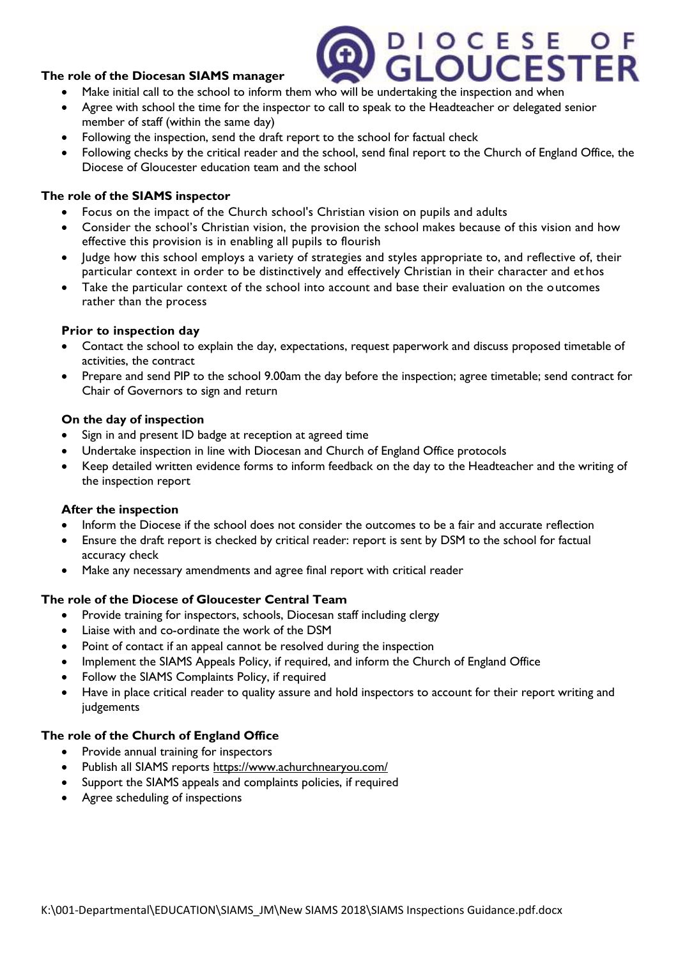## **The role of the Diocesan SIAMS manager**

- Make initial call to the school to inform them who will be undertaking the inspection and when
- Agree with school the time for the inspector to call to speak to the Headteacher or delegated senior member of staff (within the same day)
- Following the inspection, send the draft report to the school for factual check
- Following checks by the critical reader and the school, send final report to the Church of England Office, the Diocese of Gloucester education team and the school

# **The role of the SIAMS inspector**

- Focus on the impact of the Church school's Christian vision on pupils and adults
- Consider the school's Christian vision, the provision the school makes because of this vision and how effective this provision is in enabling all pupils to flourish
- Judge how this school employs a variety of strategies and styles appropriate to, and reflective of, their particular context in order to be distinctively and effectively Christian in their character and et hos
- Take the particular context of the school into account and base their evaluation on the outcomes rather than the process

## **Prior to inspection day**

- Contact the school to explain the day, expectations, request paperwork and discuss proposed timetable of activities, the contract
- Prepare and send PIP to the school 9.00am the day before the inspection; agree timetable; send contract for Chair of Governors to sign and return

## **On the day of inspection**

- Sign in and present ID badge at reception at agreed time
- Undertake inspection in line with Diocesan and Church of England Office protocols
- Keep detailed written evidence forms to inform feedback on the day to the Headteacher and the writing of the inspection report

## **After the inspection**

- Inform the Diocese if the school does not consider the outcomes to be a fair and accurate reflection
- Ensure the draft report is checked by critical reader: report is sent by DSM to the school for factual accuracy check
- Make any necessary amendments and agree final report with critical reader

## **The role of the Diocese of Gloucester Central Team**

- Provide training for inspectors, schools, Diocesan staff including clergy
- Liaise with and co-ordinate the work of the DSM
- Point of contact if an appeal cannot be resolved during the inspection
- Implement the SIAMS Appeals Policy, if required, and inform the Church of England Office
- Follow the SIAMS Complaints Policy, if required
- Have in place critical reader to quality assure and hold inspectors to account for their report writing and judgements

## **The role of the Church of England Office**

- Provide annual training for inspectors
- Publish all SIAMS reports <https://www.achurchnearyou.com/>
- Support the SIAMS appeals and complaints policies, if required
- Agree scheduling of inspections

# DIOCESE OF